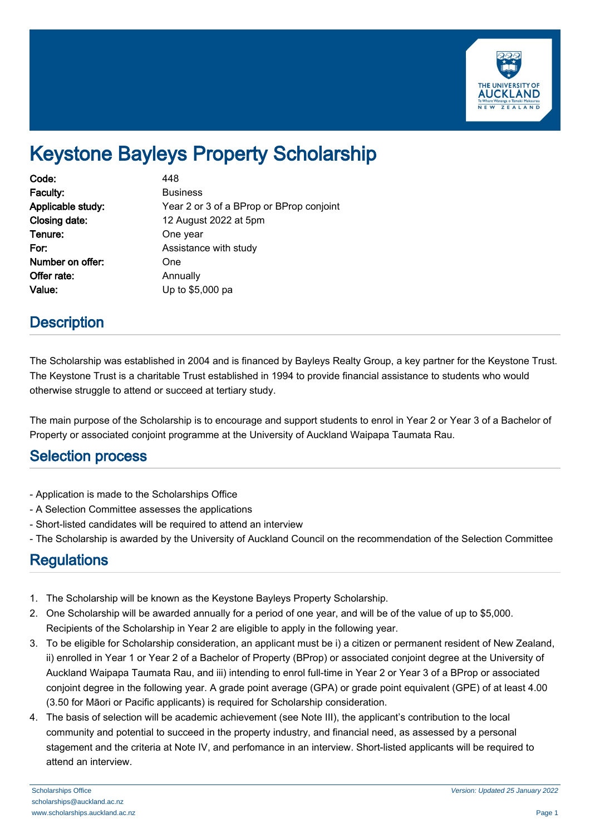

# Keystone Bayleys Property Scholarship

| Code:             | 448                                      |
|-------------------|------------------------------------------|
| Faculty:          | <b>Business</b>                          |
| Applicable study: | Year 2 or 3 of a BProp or BProp conjoint |
| Closing date:     | 12 August 2022 at 5pm                    |
| Tenure:           | One year                                 |
| For:              | Assistance with study                    |
| Number on offer:  | One                                      |
| Offer rate:       | Annually                                 |
| Value:            | Up to \$5,000 pa                         |

### **Description**

The Scholarship was established in 2004 and is financed by Bayleys Realty Group, a key partner for the Keystone Trust. The Keystone Trust is a charitable Trust established in 1994 to provide financial assistance to students who would otherwise struggle to attend or succeed at tertiary study.

The main purpose of the Scholarship is to encourage and support students to enrol in Year 2 or Year 3 of a Bachelor of Property or associated conjoint programme at the University of Auckland Waipapa Taumata Rau.

#### Selection process

- Application is made to the Scholarships Office
- A Selection Committee assesses the applications
- Short-listed candidates will be required to attend an interview
- The Scholarship is awarded by the University of Auckland Council on the recommendation of the Selection Committee

#### **Regulations**

- 1. The Scholarship will be known as the Keystone Bayleys Property Scholarship.
- 2. One Scholarship will be awarded annually for a period of one year, and will be of the value of up to \$5,000. Recipients of the Scholarship in Year 2 are eligible to apply in the following year.
- 3. To be eligible for Scholarship consideration, an applicant must be i) a citizen or permanent resident of New Zealand, ii) enrolled in Year 1 or Year 2 of a Bachelor of Property (BProp) or associated conjoint degree at the University of Auckland Waipapa Taumata Rau, and iii) intending to enrol full-time in Year 2 or Year 3 of a BProp or associated conjoint degree in the following year. A grade point average (GPA) or grade point equivalent (GPE) of at least 4.00 (3.50 for Māori or Pacific applicants) is required for Scholarship consideration.
- 4. The basis of selection will be academic achievement (see Note III), the applicant's contribution to the local community and potential to succeed in the property industry, and financial need, as assessed by a personal stagement and the criteria at Note IV, and perfomance in an interview. Short-listed applicants will be required to attend an interview.